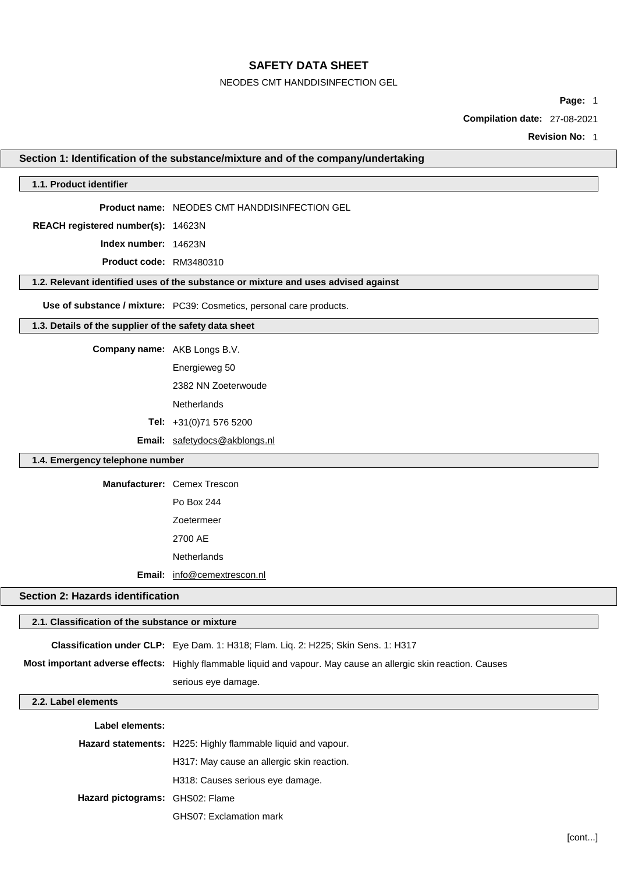NEODES CMT HANDDISINFECTION GEL

**Page:** 1

**Compilation date:** 27-08-2021

**Revision No:** 1

# **Section 1: Identification of the substance/mixture and of the company/undertaking**

| 1.1. Product identifier                               |                                                                                                                 |
|-------------------------------------------------------|-----------------------------------------------------------------------------------------------------------------|
|                                                       | Product name: NEODES CMT HANDDISINFECTION GEL                                                                   |
| REACH registered number(s): 14623N                    |                                                                                                                 |
| Index number: 14623N                                  |                                                                                                                 |
| Product code: RM3480310                               |                                                                                                                 |
|                                                       | 1.2. Relevant identified uses of the substance or mixture and uses advised against                              |
|                                                       | Use of substance / mixture: PC39: Cosmetics, personal care products.                                            |
| 1.3. Details of the supplier of the safety data sheet |                                                                                                                 |
| Company name: AKB Longs B.V.                          |                                                                                                                 |
|                                                       | Energieweg 50                                                                                                   |
|                                                       | 2382 NN Zoeterwoude                                                                                             |
|                                                       | <b>Netherlands</b>                                                                                              |
|                                                       | Tel: +31(0)71 576 5200                                                                                          |
|                                                       | Email: safetydocs@akblongs.nl                                                                                   |
| 1.4. Emergency telephone number                       |                                                                                                                 |
|                                                       | Manufacturer: Cemex Trescon                                                                                     |
|                                                       | Po Box 244                                                                                                      |
|                                                       | Zoetermeer                                                                                                      |
|                                                       | 2700 AE                                                                                                         |
|                                                       | <b>Netherlands</b>                                                                                              |
| Email:                                                | info@cemextrescon.nl                                                                                            |
| <b>Section 2: Hazards identification</b>              |                                                                                                                 |
| 2.1. Classification of the substance or mixture       |                                                                                                                 |
|                                                       | Classification under CLP: Eye Dam. 1: H318; Flam. Liq. 2: H225; Skin Sens. 1: H317                              |
|                                                       | Most important adverse effects: Highly flammable liquid and vapour. May cause an allergic skin reaction. Causes |
|                                                       | serious eye damage.                                                                                             |
| 2.2. Label elements                                   |                                                                                                                 |
|                                                       |                                                                                                                 |
| Label elements:                                       | Hazard statements: H225: Highly flammable liquid and vapour.                                                    |
|                                                       | H317: May cause an allergic skin reaction.                                                                      |
|                                                       | H318: Causes serious eye damage.                                                                                |
| Hazard pictograms: GHS02: Flame                       |                                                                                                                 |
|                                                       | GHS07: Exclamation mark                                                                                         |
|                                                       |                                                                                                                 |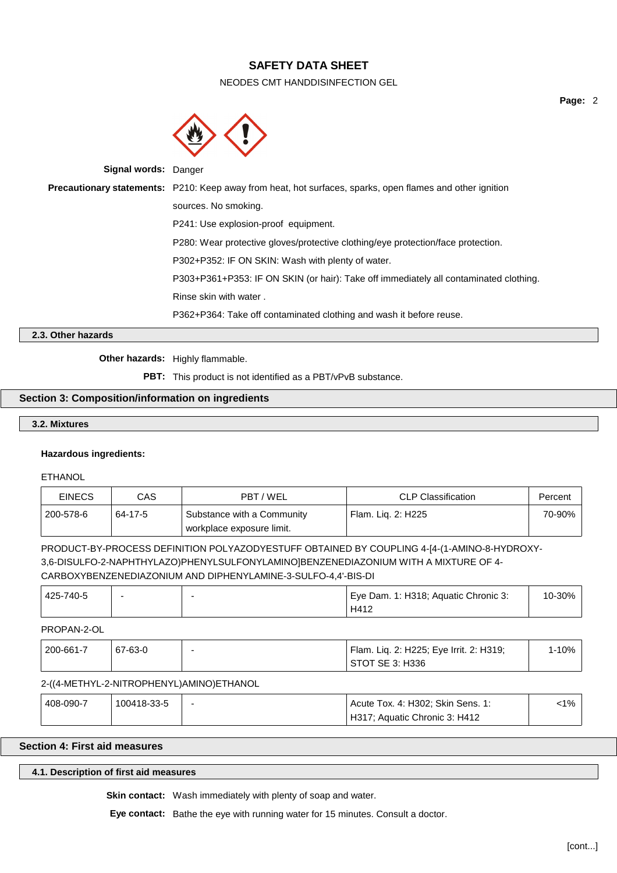NEODES CMT HANDDISINFECTION GEL



**Signal words:** Danger **Precautionary statements:** P210: Keep away from heat, hot surfaces, sparks, open flames and other ignition sources. No smoking. P241: Use explosion-proof equipment. P280: Wear protective gloves/protective clothing/eye protection/face protection. P302+P352: IF ON SKIN: Wash with plenty of water. P303+P361+P353: IF ON SKIN (or hair): Take off immediately all contaminated clothing. Rinse skin with water . P362+P364: Take off contaminated clothing and wash it before reuse.

## **2.3. Other hazards**

**Other hazards:** Highly flammable.

**PBT:** This product is not identified as a PBT/vPvB substance.

#### **Section 3: Composition/information on ingredients**

#### **3.2. Mixtures**

#### **Hazardous ingredients:**

ETHANOL

| <b>EINECS</b> | CAS     | PBT/WEL                                                 | <b>CLP Classification</b> | Percent |
|---------------|---------|---------------------------------------------------------|---------------------------|---------|
| 200-578-6     | 64-17-5 | Substance with a Community<br>workplace exposure limit. | ' Flam. Lig. 2: H225      | 70-90%  |

PRODUCT-BY-PROCESS DEFINITION POLYAZODYESTUFF OBTAINED BY COUPLING 4-[4-(1-AMINO-8-HYDROXY-3,6-DISULFO-2-NAPHTHYLAZO)PHENYLSULFONYLAMINO]BENZENEDIAZONIUM WITH A MIXTURE OF 4- CARBOXYBENZENEDIAZONIUM AND DIPHENYLAMINE-3-SULFO-4,4'-BIS-DI

| 425-740-5 |  | Eye Dam. 1: H318; Aquatic Chronic 3: | 10-30% |
|-----------|--|--------------------------------------|--------|
|           |  | H412                                 |        |

# PROPAN-2-OL

| 200-661-7 | 67-63-0 | Flam. Lig. 2: H225; Eye Irrit. 2: H319; | 1-10% |
|-----------|---------|-----------------------------------------|-------|
|           |         | STOT SE 3: H336                         |       |

#### 2-((4-METHYL-2-NITROPHENYL)AMINO)ETHANOL

| 408-090-7 | 100418-33-5 | $\overline{\phantom{0}}$ | Acute Tox. 4: H302; Skin Sens. 1: | $< 1\%$ |  |
|-----------|-------------|--------------------------|-----------------------------------|---------|--|
|           |             |                          | H317; Aquatic Chronic 3: H412     |         |  |

# **Section 4: First aid measures**

#### **4.1. Description of first aid measures**

**Skin contact:** Wash immediately with plenty of soap and water.

**Eye contact:** Bathe the eye with running water for 15 minutes. Consult a doctor.

**Page:** 2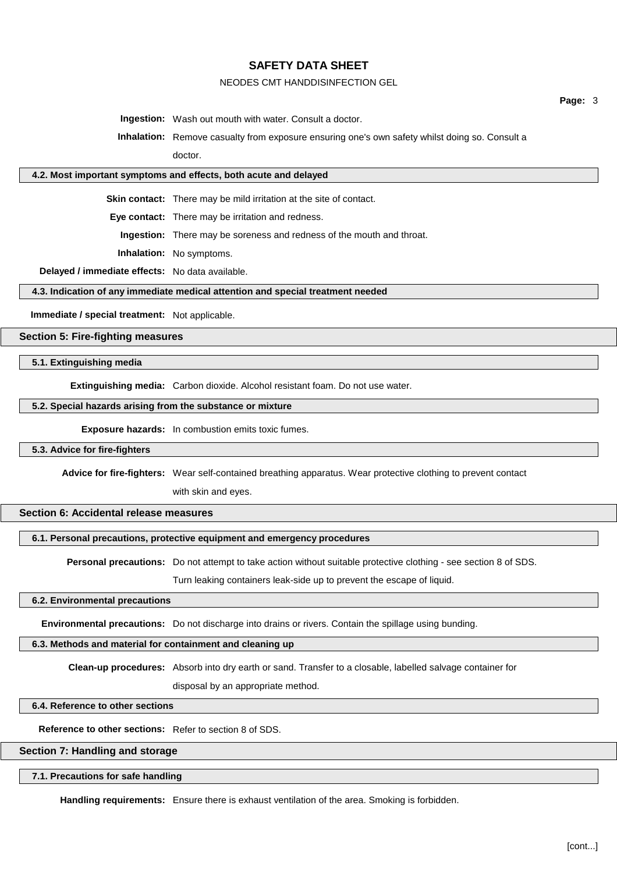#### NEODES CMT HANDDISINFECTION GEL

**Page:** 3

**Ingestion:** Wash out mouth with water. Consult a doctor.

**Inhalation:** Remove casualty from exposure ensuring one's own safety whilst doing so. Consult a doctor.

### **4.2. Most important symptoms and effects, both acute and delayed**

**Skin contact:** There may be mild irritation at the site of contact.

**Eye contact:** There may be irritation and redness.

**Ingestion:** There may be soreness and redness of the mouth and throat.

**Inhalation:** No symptoms.

**Delayed / immediate effects:** No data available.

**4.3. Indication of any immediate medical attention and special treatment needed**

**Immediate / special treatment:** Not applicable.

# **Section 5: Fire-fighting measures**

### **5.1. Extinguishing media**

**Extinguishing media:** Carbon dioxide. Alcohol resistant foam. Do not use water.

#### **5.2. Special hazards arising from the substance or mixture**

**Exposure hazards:** In combustion emits toxic fumes.

#### **5.3. Advice for fire-fighters**

**Advice for fire-fighters:** Wear self-contained breathing apparatus. Wear protective clothing to prevent contact

with skin and eyes.

## **Section 6: Accidental release measures**

### **6.1. Personal precautions, protective equipment and emergency procedures**

**Personal precautions:** Do not attempt to take action without suitable protective clothing - see section 8 of SDS.

Turn leaking containers leak-side up to prevent the escape of liquid.

### **6.2. Environmental precautions**

**Environmental precautions:** Do not discharge into drains or rivers. Contain the spillage using bunding.

### **6.3. Methods and material for containment and cleaning up**

**Clean-up procedures:** Absorb into dry earth or sand. Transfer to a closable, labelled salvage container for

disposal by an appropriate method.

#### **6.4. Reference to other sections**

**Reference to other sections:** Refer to section 8 of SDS.

#### **Section 7: Handling and storage**

#### **7.1. Precautions for safe handling**

**Handling requirements:** Ensure there is exhaust ventilation of the area. Smoking is forbidden.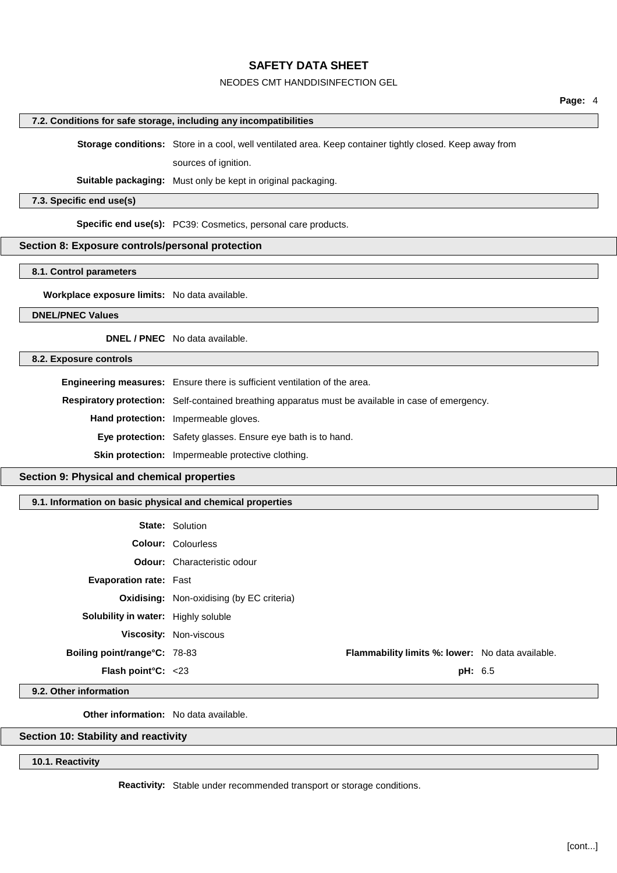# NEODES CMT HANDDISINFECTION GEL

|                                                            |                                                                                                          | Page: 4 |
|------------------------------------------------------------|----------------------------------------------------------------------------------------------------------|---------|
|                                                            | 7.2. Conditions for safe storage, including any incompatibilities                                        |         |
|                                                            | Storage conditions: Store in a cool, well ventilated area. Keep container tightly closed. Keep away from |         |
|                                                            | sources of ignition.                                                                                     |         |
|                                                            | Suitable packaging: Must only be kept in original packaging.                                             |         |
| 7.3. Specific end use(s)                                   |                                                                                                          |         |
|                                                            | Specific end use(s): PC39: Cosmetics, personal care products.                                            |         |
| Section 8: Exposure controls/personal protection           |                                                                                                          |         |
| 8.1. Control parameters                                    |                                                                                                          |         |
|                                                            |                                                                                                          |         |
| Workplace exposure limits: No data available.              |                                                                                                          |         |
| <b>DNEL/PNEC Values</b>                                    |                                                                                                          |         |
|                                                            | <b>DNEL / PNEC</b> No data available.                                                                    |         |
| 8.2. Exposure controls                                     |                                                                                                          |         |
|                                                            | Engineering measures: Ensure there is sufficient ventilation of the area.                                |         |
|                                                            | Respiratory protection: Self-contained breathing apparatus must be available in case of emergency.       |         |
|                                                            | Hand protection: Impermeable gloves.                                                                     |         |
|                                                            | Eye protection: Safety glasses. Ensure eye bath is to hand.                                              |         |
|                                                            | Skin protection: Impermeable protective clothing.                                                        |         |
| Section 9: Physical and chemical properties                |                                                                                                          |         |
| 9.1. Information on basic physical and chemical properties |                                                                                                          |         |
|                                                            | <b>State: Solution</b>                                                                                   |         |
|                                                            | Colour: Colourless                                                                                       |         |
|                                                            | <b>Odour:</b> Characteristic odour                                                                       |         |
| Evaporation rate: Fast                                     |                                                                                                          |         |
|                                                            | <b>Oxidising:</b> Non-oxidising (by EC criteria)                                                         |         |
| Solubility in water: Highly soluble                        |                                                                                                          |         |
|                                                            | Viscosity: Non-viscous                                                                                   |         |
| Boiling point/range°C: 78-83                               | Flammability limits %: lower: No data available.                                                         |         |
| Flash point°C: <23                                         | pH: 6.5                                                                                                  |         |
| 9.2. Other information                                     |                                                                                                          |         |

**Other information:** No data available.

# **Section 10: Stability and reactivity**

**10.1. Reactivity**

**Reactivity:** Stable under recommended transport or storage conditions.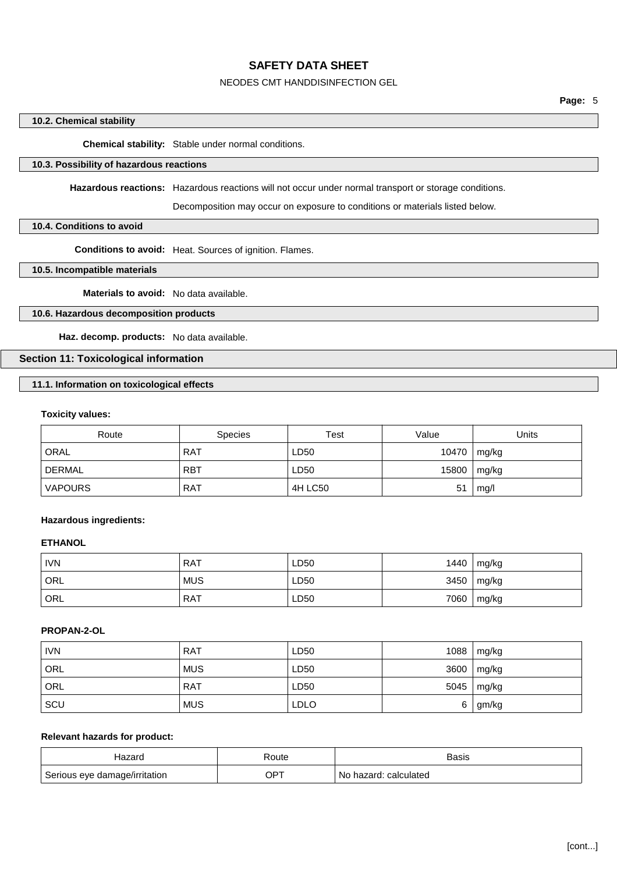### NEODES CMT HANDDISINFECTION GEL

## **10.2. Chemical stability**

**Chemical stability:** Stable under normal conditions.

# **10.3. Possibility of hazardous reactions**

**Hazardous reactions:** Hazardous reactions will not occur under normal transport or storage conditions.

Decomposition may occur on exposure to conditions or materials listed below.

## **10.4. Conditions to avoid**

**Conditions to avoid:** Heat. Sources of ignition. Flames.

**10.5. Incompatible materials**

**Materials to avoid:** No data available.

## **10.6. Hazardous decomposition products**

**Haz. decomp. products:** No data available.

## **Section 11: Toxicological information**

## **11.1. Information on toxicological effects**

#### **Toxicity values:**

| Route          | <b>Species</b> | Test    | Value | Units |
|----------------|----------------|---------|-------|-------|
| <b>ORAL</b>    | <b>RAT</b>     | LD50    | 10470 | mg/kg |
| <b>DERMAL</b>  | <b>RBT</b>     | LD50    | 15800 | mg/kg |
| <b>VAPOURS</b> | <b>RAT</b>     | 4H LC50 | 51    | mq/l  |

#### **Hazardous ingredients:**

## **ETHANOL**

| <b>IVN</b> | <b>RAT</b> | LD50 | 1440 | mg/kg |
|------------|------------|------|------|-------|
| ORL        | <b>MUS</b> | LD50 | 3450 | mg/kg |
| ORL        | <b>RAT</b> | LD50 | 7060 | mg/kg |

#### **PROPAN-2-OL**

| <b>IVN</b> | <b>RAT</b> | LD50        | 1088 | mg/kg |
|------------|------------|-------------|------|-------|
| ORL        | <b>MUS</b> | LD50        | 3600 | mg/kg |
| <b>ORL</b> | <b>RAT</b> | LD50        | 5045 | mg/kg |
| SCU        | <b>MUS</b> | <b>LDLO</b> | 6    | gm/kg |

# **Relevant hazards for product:**

| Hazard                        | Route | <b>Basis</b>                  |
|-------------------------------|-------|-------------------------------|
| Serious eye damage/irritation | OPT   | ∶ calculated<br>hazard.<br>N0 |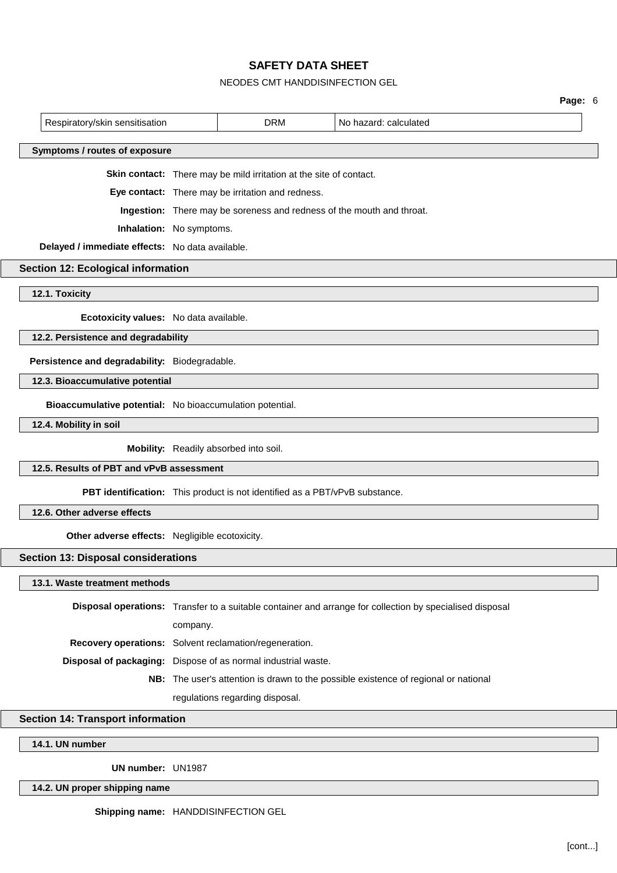# NEODES CMT HANDDISINFECTION GEL

|                                                               |          |                                                                             |                                                                                                          | Page: 6 |
|---------------------------------------------------------------|----------|-----------------------------------------------------------------------------|----------------------------------------------------------------------------------------------------------|---------|
| Respiratory/skin sensitisation                                |          | <b>DRM</b>                                                                  | No hazard: calculated                                                                                    |         |
| Symptoms / routes of exposure                                 |          |                                                                             |                                                                                                          |         |
|                                                               |          | Skin contact: There may be mild irritation at the site of contact.          |                                                                                                          |         |
|                                                               |          | Eye contact: There may be irritation and redness.                           |                                                                                                          |         |
|                                                               |          |                                                                             | Ingestion: There may be soreness and redness of the mouth and throat.                                    |         |
| Inhalation: No symptoms.                                      |          |                                                                             |                                                                                                          |         |
| Delayed / immediate effects: No data available.               |          |                                                                             |                                                                                                          |         |
| <b>Section 12: Ecological information</b>                     |          |                                                                             |                                                                                                          |         |
| 12.1. Toxicity                                                |          |                                                                             |                                                                                                          |         |
| Ecotoxicity values: No data available.                        |          |                                                                             |                                                                                                          |         |
| 12.2. Persistence and degradability                           |          |                                                                             |                                                                                                          |         |
| Persistence and degradability: Biodegradable.                 |          |                                                                             |                                                                                                          |         |
| 12.3. Bioaccumulative potential                               |          |                                                                             |                                                                                                          |         |
| Bioaccumulative potential: No bioaccumulation potential.      |          |                                                                             |                                                                                                          |         |
| 12.4. Mobility in soil                                        |          |                                                                             |                                                                                                          |         |
|                                                               |          | Mobility: Readily absorbed into soil.                                       |                                                                                                          |         |
| 12.5. Results of PBT and vPvB assessment                      |          |                                                                             |                                                                                                          |         |
|                                                               |          | PBT identification: This product is not identified as a PBT/vPvB substance. |                                                                                                          |         |
| 12.6. Other adverse effects                                   |          |                                                                             |                                                                                                          |         |
| Other adverse effects: Negligible ecotoxicity.                |          |                                                                             |                                                                                                          |         |
| <b>Section 13: Disposal considerations</b>                    |          |                                                                             |                                                                                                          |         |
| 13.1. Waste treatment methods                                 |          |                                                                             |                                                                                                          |         |
|                                                               |          |                                                                             | Disposal operations: Transfer to a suitable container and arrange for collection by specialised disposal |         |
|                                                               | company. |                                                                             |                                                                                                          |         |
|                                                               |          | Recovery operations: Solvent reclamation/regeneration.                      |                                                                                                          |         |
| Disposal of packaging: Dispose of as normal industrial waste. |          |                                                                             |                                                                                                          |         |
|                                                               |          |                                                                             | NB: The user's attention is drawn to the possible existence of regional or national                      |         |
|                                                               |          | regulations regarding disposal.                                             |                                                                                                          |         |

# **Section 14: Transport information**

# **14.1. UN number**

**UN number:** UN1987

**14.2. UN proper shipping name**

**Shipping name:** HANDDISINFECTION GEL